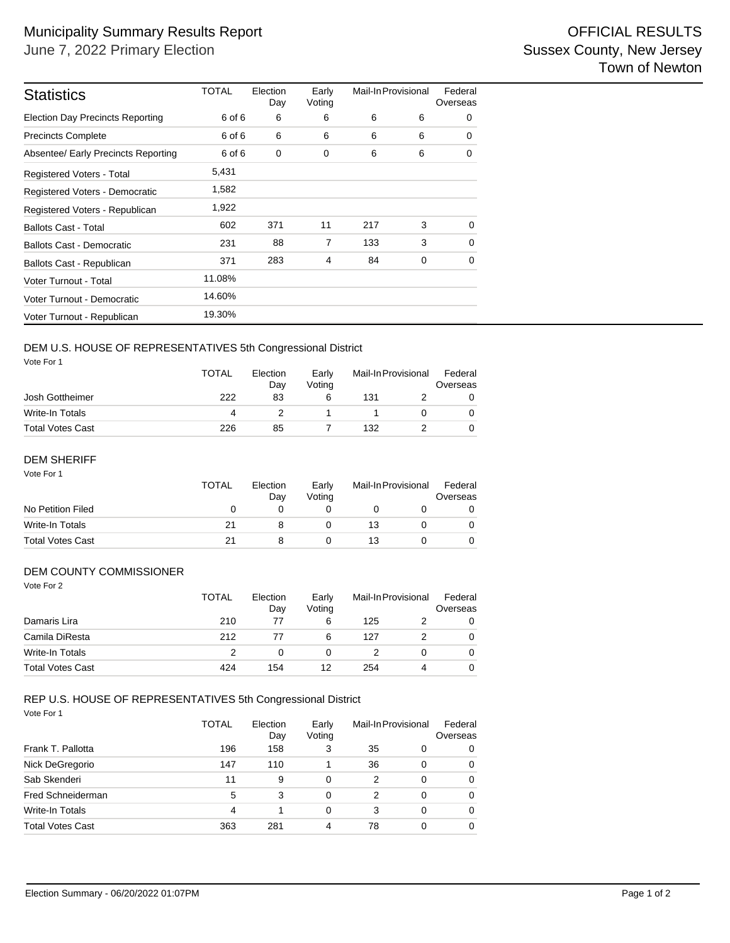| <b>Statistics</b>                       | <b>TOTAL</b> | Election<br>Day | Early<br>Voting | Mail-In Provisional |   | Federal<br>Overseas |
|-----------------------------------------|--------------|-----------------|-----------------|---------------------|---|---------------------|
| <b>Election Day Precincts Reporting</b> | 6 of 6       | 6               | 6               | 6                   | 6 | 0                   |
| <b>Precincts Complete</b>               | 6 of 6       | 6               | 6               | 6                   | 6 | $\Omega$            |
| Absentee/ Early Precincts Reporting     | 6 of 6       | 0               | 0               | 6                   | 6 | 0                   |
| Registered Voters - Total               | 5,431        |                 |                 |                     |   |                     |
| Registered Voters - Democratic          | 1,582        |                 |                 |                     |   |                     |
| Registered Voters - Republican          | 1,922        |                 |                 |                     |   |                     |
| <b>Ballots Cast - Total</b>             | 602          | 371             | 11              | 217                 | 3 | $\Omega$            |
| Ballots Cast - Democratic               | 231          | 88              | $\overline{7}$  | 133                 | 3 | $\Omega$            |
| Ballots Cast - Republican               | 371          | 283             | $\overline{4}$  | 84                  | 0 | 0                   |
| Voter Turnout - Total                   | 11.08%       |                 |                 |                     |   |                     |
| Voter Turnout - Democratic              | 14.60%       |                 |                 |                     |   |                     |
| Voter Turnout - Republican              | 19.30%       |                 |                 |                     |   |                     |

### DEM U.S. HOUSE OF REPRESENTATIVES 5th Congressional District

Vote For 1

|                         | <b>TOTAL</b> | Election<br>Dav | Early<br>Votina | Mail-In Provisional |  | Federal<br>Overseas |  |
|-------------------------|--------------|-----------------|-----------------|---------------------|--|---------------------|--|
| Josh Gottheimer         | 222          | 83              |                 | 131                 |  |                     |  |
| Write-In Totals         | 4            |                 |                 |                     |  |                     |  |
| <b>Total Votes Cast</b> | 226          | 85              |                 | 132                 |  |                     |  |

#### Vote For 1 DEM SHERIFF

|                         | <b>TOTAL</b> | Election<br>Dav | Early<br>Votina | Mail-In Provisional | Federal<br>Overseas |
|-------------------------|--------------|-----------------|-----------------|---------------------|---------------------|
| No Petition Filed       | $\mathbf{0}$ |                 |                 |                     |                     |
| Write-In Totals         | 21           |                 |                 | 13                  |                     |
| <b>Total Votes Cast</b> | 21           |                 |                 | 13                  |                     |

### DEM COUNTY COMMISSIONER

| Vote For 2              | <b>TOTAL</b>  | Election<br>Day | Early<br>Voting |     | Mail-In Provisional | Federal<br>Overseas |
|-------------------------|---------------|-----------------|-----------------|-----|---------------------|---------------------|
| Damaris Lira            | 210           | 77              | 6               | 125 |                     | 0                   |
| Camila DiResta          | 212           | 77              | 6               | 127 | 2                   | 0                   |
| <b>Write-In Totals</b>  | $\mathcal{P}$ | 0               | 0               |     | 0                   | $\Omega$            |
| <b>Total Votes Cast</b> | 424           | 154             | 12              | 254 | 4                   | $\Omega$            |

#### Vote For 1 REP U.S. HOUSE OF REPRESENTATIVES 5th Congressional District

|                         | <b>TOTAL</b> | Election<br>Day | Early<br>Voting | Mail-In Provisional |          | Federal<br>Overseas |  |
|-------------------------|--------------|-----------------|-----------------|---------------------|----------|---------------------|--|
| Frank T. Pallotta       | 196          | 158             | 3               | 35                  | 0        | 0                   |  |
| Nick DeGregorio         | 147          | 110             |                 | 36                  | 0        | $\Omega$            |  |
| Sab Skenderi            | 11           | 9               | 0               | 2                   | 0        | $\Omega$            |  |
| Fred Schneiderman       | 5            | 3               | 0               | 2                   | $\Omega$ | $\Omega$            |  |
| Write-In Totals         | 4            |                 | 0               | 3                   | 0        | $\Omega$            |  |
| <b>Total Votes Cast</b> | 363          | 281             | 4               | 78                  | 0        | $\Omega$            |  |